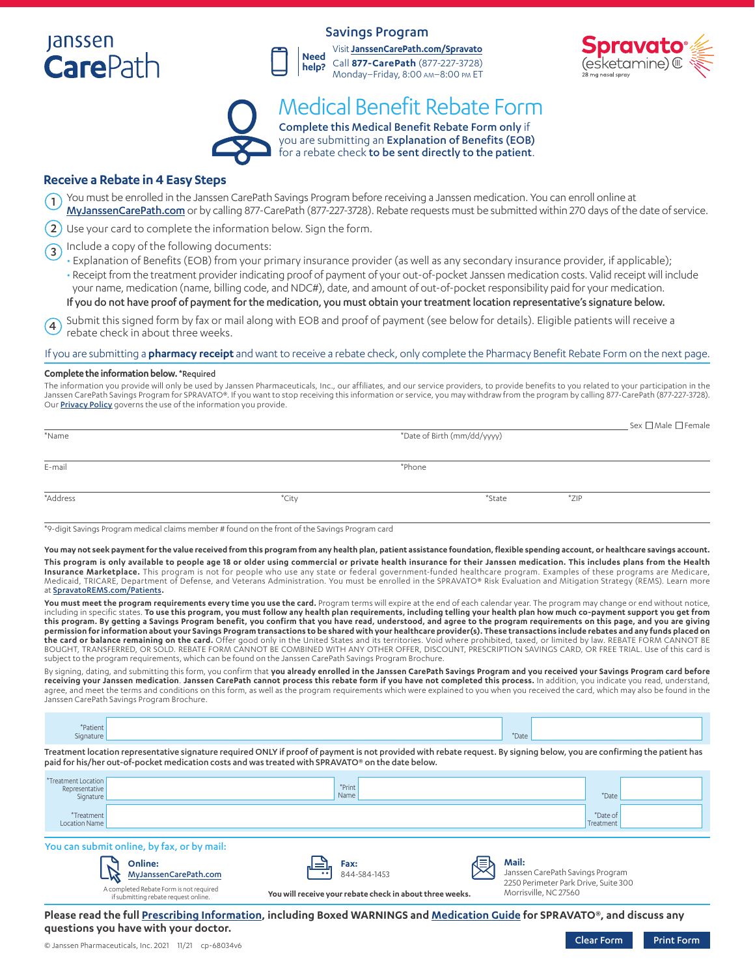# **Janssen CarePath**

## Savings Program





# Complete this Medical Benefit Rebate Form only if Medical Benefit Rebate Form

you are submitting an Explanation of Benefits (EOB) for a rebate check to be sent directly to the patient.

### **Receive a Rebate in 4 Easy Steps**

- You must be enrolled in the Janssen CarePath Savings Program before receiving a Janssen medication. You can enroll online at [MyJanssenCarePath.com](https://www.myjanssencarepath.com/s/login/SelfRegister?regBy=Self) or by calling 877-CarePath (877-227-3728). Rebate requests must be submitted within 270 days of the date of service. 1
- $2)$  Use your card to complete the information below. Sign the form.
- Include a copy of the following documents: 3
	- Explanation of Benefits (EOB) from your primary insurance provider (as well as any secondary insurance provider, if applicable); • Receipt from the treatment provider indicating proof of payment of your out-of-pocket Janssen medication costs. Valid receipt will include your name, medication (name, billing code, and NDC#), date, and amount of out-of-pocket responsibility paid for your medication. If you do not have proof of payment for the medication, you must obtain your treatment location representative's signature below.
- Submit this signed form by fax or mail along with EOB and proof of payment (see below for details). Eligible patients will receive a rebate check in about three weeks.  $(4)$

#### If you are submitting a **pharmacy receipt** and want to receive a rebate check, only complete the Pharmacy Benefit Rebate Form on the next page.

#### **Complete the information below.** \*Required

The information you provide will only be used by Janssen Pharmaceuticals, Inc., our affiliates, and our service providers, to provide benefits to you related to your participation in the Janssen CarePath Savings Program for SPRAVATO®. If you want to stop receiving this information or service, you may withdraw from the program by calling 877-CarePath (877-227-3728). Our **[Privacy Policy](https://www.janssencarepath.com/privacy-policy)** governs the use of the information you provide.

| *Name    |       | *Date of Birth (mm/dd/yyyy) |        | $\_$ Sex $\Box$ Male $\Box$ Female |  |  |
|----------|-------|-----------------------------|--------|------------------------------------|--|--|
| E-mail   |       | *Phone                      |        |                                    |  |  |
| *Address | *City |                             | *State | $*ZIP$                             |  |  |

\*9-digit Savings Program medical claims member # found on the front of the Savings Program card

**You may not seek payment for the value received from this program from any health plan, patient assistance foundation, flexible spending account, or healthcare savings account.**

**This program is only available to people age 18 or older using commercial or private health insurance for their Janssen medication. This includes plans from the Health Insurance Marketplace.** This program is not for people who use any state or federal government-funded healthcare program. Examples of these programs are Medicare, Medicaid, TRICARE, Department of Defense, and Veterans Administration. You must be enrolled in the SPRAVATO® Risk Evaluation and Mitigation Strategy (REMS). Learn more at [SpravatoREMS.com/Patients](https://www.spravatorems.com/patients.html)**.**

**You must meet the program requirements every time you use the card.** Program terms will expire at the end of each calendar year. The program may change or end without notice, including in specific states. <mark>To use this program, you must follow any health plan requirements, including telling your health plan how much co-payment support you get from<br>this program. By getting a Savings Program benef</mark> **permission for information about your Savings Program transactions to be shared with your healthcare provider(s). These transactions include rebates and any funds placed on the card or balance remaining on the card.** Offer good only in the United States and its territories. Void where prohibited, taxed, or limited by law. REBATE FORM CANNOT BE BOUGHT, TRANSFERRED, OR SOLD. REBATE FORM CANNOT BE COMBINED WITH ANY OTHER OFFER, DISCOUNT, PRESCRIPTION SAVINGS CARD, OR FREE TRIAL. Use of this card is subject to the program requirements, which can be found on the Janssen CarePath Savings Program Brochure.

By signing, dating, and submitting this form, you confirm that **you already enrolled in the Janssen CarePath Savings Program and you received your Savings Program card before receiving your Janssen medication**. **Janssen CarePath cannot process this rebate form if you have not completed this process.** In addition, you indicate you read, understand, agree, and meet the terms and conditions on this form, as well as the program requirements which were explained to you when you received the card, which may also be found in the Janssen CarePath Savings Program Brochure.

| 'Patient<br>gnature |  |            |   | *Date |  |  |
|---------------------|--|------------|---|-------|--|--|
|                     |  | $-$<br>___ | . |       |  |  |

Treatment location representative signature required ONLY if proof of payment is not provided with rebate request. By signing below, you are confirming the patient has paid for his/her out-of-pocket medication costs and was treated with SPRAVATO® on the date below.

| *Treatment Location<br>Representative<br>Signature | *Print<br>Name | *Date                 |  |
|----------------------------------------------------|----------------|-----------------------|--|
| *Treatment<br>Location Name                        |                | *Date of<br>Treatment |  |

### You can submit online, by fax, or by mail:



if submitting rebate request onli





Janssen CarePath Savings Program 2250 Perimeter Park Drive, Suite 300 Morrisville, NC 27560

**Please read the full [Prescribing Information](https://www.janssenlabels.com/package-insert/product-monograph/prescribing-information/SPRAVATO-pi.pdf), including Boxed WARNINGS and [Medication Guide](https://www.janssenlabels.com/package-insert/product-patient-information/SPRAVATO-medication-guide.pdf) for SPRAVATO®, and discuss any questions you have with your doctor.**